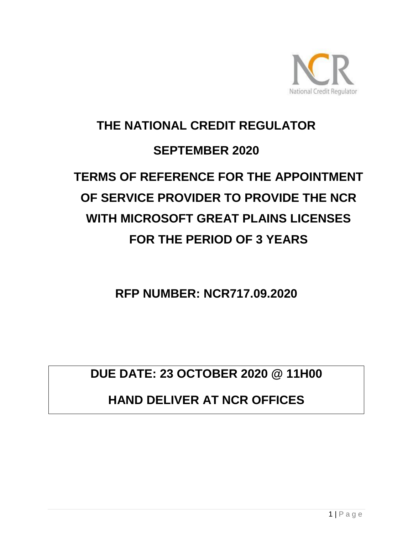

# **THE NATIONAL CREDIT REGULATOR SEPTEMBER 2020 TERMS OF REFERENCE FOR THE APPOINTMENT OF SERVICE PROVIDER TO PROVIDE THE NCR WITH MICROSOFT GREAT PLAINS LICENSES FOR THE PERIOD OF 3 YEARS**

**RFP NUMBER: NCR717.09.2020**

**DUE DATE: 23 OCTOBER 2020 @ 11H00**

**HAND DELIVER AT NCR OFFICES**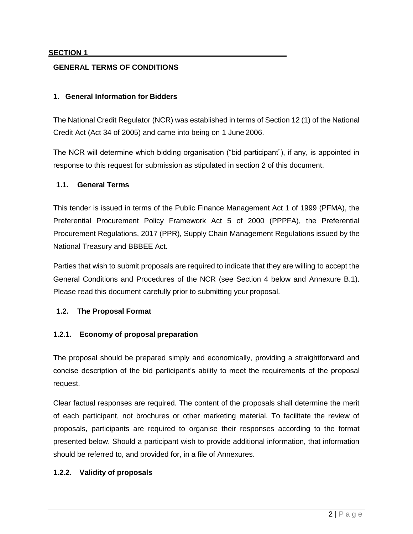#### **GENERAL TERMS OF CONDITIONS**

#### **1. General Information for Bidders**

The National Credit Regulator (NCR) was established in terms of Section 12 (1) of the National Credit Act (Act 34 of 2005) and came into being on 1 June 2006.

The NCR will determine which bidding organisation ("bid participant"), if any, is appointed in response to this request for submission as stipulated in section 2 of this document.

#### **1.1. General Terms**

This tender is issued in terms of the Public Finance Management Act 1 of 1999 (PFMA), the Preferential Procurement Policy Framework Act 5 of 2000 (PPPFA), the Preferential Procurement Regulations, 2017 (PPR), Supply Chain Management Regulations issued by the National Treasury and BBBEE Act.

Parties that wish to submit proposals are required to indicate that they are willing to accept the General Conditions and Procedures of the NCR (see Section 4 below and Annexure B.1). Please read this document carefully prior to submitting your proposal.

#### **1.2. The Proposal Format**

#### **1.2.1. Economy of proposal preparation**

The proposal should be prepared simply and economically, providing a straightforward and concise description of the bid participant's ability to meet the requirements of the proposal request.

Clear factual responses are required. The content of the proposals shall determine the merit of each participant, not brochures or other marketing material. To facilitate the review of proposals, participants are required to organise their responses according to the format presented below. Should a participant wish to provide additional information, that information should be referred to, and provided for, in a file of Annexures.

#### **1.2.2. Validity of proposals**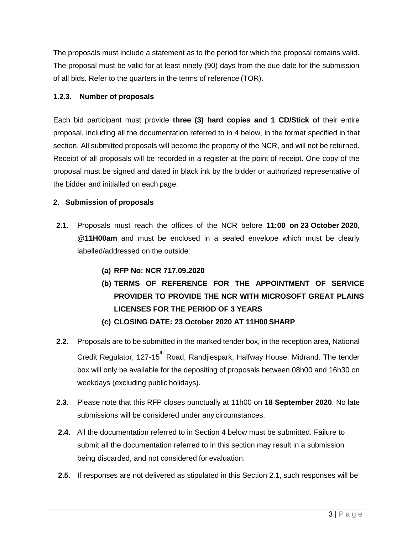The proposals must include a statement as to the period for which the proposal remains valid. The proposal must be valid for at least ninety (90) days from the due date for the submission of all bids. Refer to the quarters in the terms of reference (TOR).

#### **1.2.3. Number of proposals**

Each bid participant must provide **three (3) hard copies and 1 CD/Stick o**f their entire proposal, including all the documentation referred to in 4 below, in the format specified in that section. All submitted proposals will become the property of the NCR, and will not be returned. Receipt of all proposals will be recorded in a register at the point of receipt. One copy of the proposal must be signed and dated in black ink by the bidder or authorized representative of the bidder and initialled on each page.

#### **2. Submission of proposals**

- **2.1.** Proposals must reach the offices of the NCR before **11:00 on 23 October 2020, @11H00am** and must be enclosed in a sealed envelope which must be clearly labelled/addressed on the outside:
	- **(a) RFP No: NCR 717.09.2020**
	- **(b) TERMS OF REFERENCE FOR THE APPOINTMENT OF SERVICE PROVIDER TO PROVIDE THE NCR WITH MICROSOFT GREAT PLAINS LICENSES FOR THE PERIOD OF 3 YEARS**
	- **(c) CLOSING DATE: 23 October 2020 AT 11H00 SHARP**
- **2.2.** Proposals are to be submitted in the marked tender box, in the reception area, National Credit Regulator, 127-15<sup>th</sup> Road, Randjiespark, Halfway House, Midrand. The tender box will only be available for the depositing of proposals between 08h00 and 16h30 on weekdays (excluding public holidays).
- **2.3.** Please note that this RFP closes punctually at 11h00 on **18 September 2020**. No late submissions will be considered under any circumstances.
- **2.4.** All the documentation referred to in Section 4 below must be submitted. Failure to submit all the documentation referred to in this section may result in a submission being discarded, and not considered for evaluation.
- **2.5.** If responses are not delivered as stipulated in this Section 2.1, such responses will be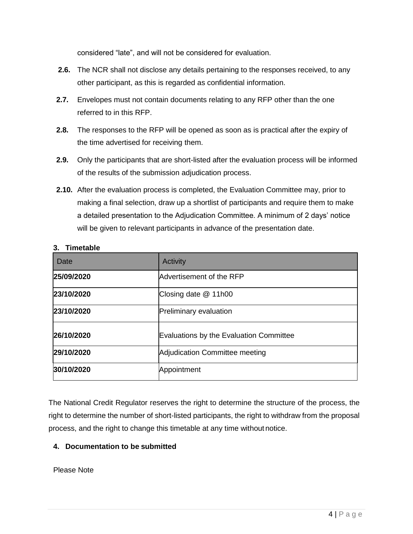considered "late", and will not be considered for evaluation.

- **2.6.** The NCR shall not disclose any details pertaining to the responses received, to any other participant, as this is regarded as confidential information.
- **2.7.** Envelopes must not contain documents relating to any RFP other than the one referred to in this RFP.
- **2.8.** The responses to the RFP will be opened as soon as is practical after the expiry of the time advertised for receiving them.
- **2.9.** Only the participants that are short-listed after the evaluation process will be informed of the results of the submission adjudication process.
- **2.10.** After the evaluation process is completed, the Evaluation Committee may, prior to making a final selection, draw up a shortlist of participants and require them to make a detailed presentation to the Adjudication Committee. A minimum of 2 days' notice will be given to relevant participants in advance of the presentation date.

| Date       | Activity                                       |
|------------|------------------------------------------------|
| 25/09/2020 | Advertisement of the RFP                       |
| 23/10/2020 | Closing date @ 11h00                           |
| 23/10/2020 | <b>Preliminary evaluation</b>                  |
| 26/10/2020 | <b>Evaluations by the Evaluation Committee</b> |
| 29/10/2020 | Adjudication Committee meeting                 |
| 30/10/2020 | Appointment                                    |

#### **3. Timetable**

The National Credit Regulator reserves the right to determine the structure of the process, the right to determine the number of short-listed participants, the right to withdraw from the proposal process, and the right to change this timetable at any time without notice.

# **4. Documentation to be submitted**

Please Note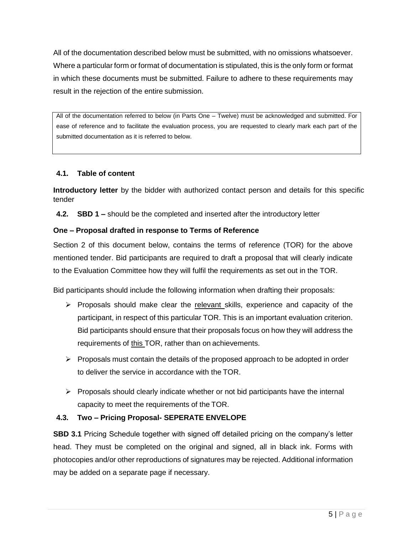All of the documentation described below must be submitted, with no omissions whatsoever. Where a particular form or format of documentation is stipulated, this is the only form or format in which these documents must be submitted. Failure to adhere to these requirements may result in the rejection of the entire submission.

All of the documentation referred to below (in Parts One – Twelve) must be acknowledged and submitted. For ease of reference and to facilitate the evaluation process, you are requested to clearly mark each part of the submitted documentation as it is referred to below.

# **4.1. Table of content**

**Introductory letter** by the bidder with authorized contact person and details for this specific tender

**4.2. SBD 1 –** should be the completed and inserted after the introductory letter

#### **One – Proposal drafted in response to Terms of Reference**

Section 2 of this document below, contains the terms of reference (TOR) for the above mentioned tender. Bid participants are required to draft a proposal that will clearly indicate to the Evaluation Committee how they will fulfil the requirements as set out in the TOR.

Bid participants should include the following information when drafting their proposals:

- $\triangleright$  Proposals should make clear the relevant skills, experience and capacity of the participant, in respect of this particular TOR. This is an important evaluation criterion. Bid participants should ensure that their proposals focus on how they will address the requirements of this TOR, rather than on achievements.
- $\triangleright$  Proposals must contain the details of the proposed approach to be adopted in order to deliver the service in accordance with the TOR.
- $\triangleright$  Proposals should clearly indicate whether or not bid participants have the internal capacity to meet the requirements of the TOR.

# **4.3. Two – Pricing Proposal- SEPERATE ENVELOPE**

**SBD 3.1** Pricing Schedule together with signed off detailed pricing on the company's letter head. They must be completed on the original and signed, all in black ink. Forms with photocopies and/or other reproductions of signatures may be rejected. Additional information may be added on a separate page if necessary.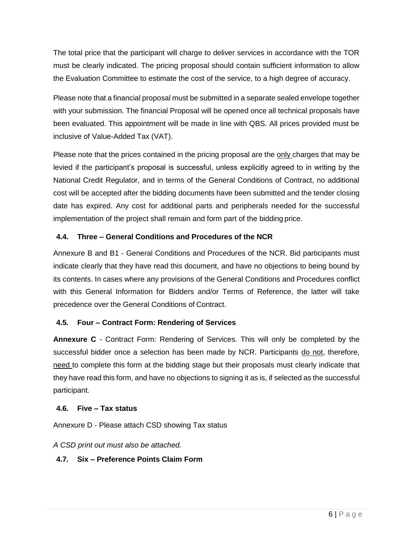The total price that the participant will charge to deliver services in accordance with the TOR must be clearly indicated. The pricing proposal should contain sufficient information to allow the Evaluation Committee to estimate the cost of the service, to a high degree of accuracy.

Please note that a financial proposal must be submitted in a separate sealed envelope together with your submission. The financial Proposal will be opened once all technical proposals have been evaluated. This appointment will be made in line with QBS. All prices provided must be inclusive of Value-Added Tax (VAT).

Please note that the prices contained in the pricing proposal are the only charges that may be levied if the participant's proposal is successful, unless explicitly agreed to in writing by the National Credit Regulator, and in terms of the General Conditions of Contract, no additional cost will be accepted after the bidding documents have been submitted and the tender closing date has expired. Any cost for additional parts and peripherals needed for the successful implementation of the project shall remain and form part of the bidding price.

# **4.4. Three – General Conditions and Procedures of the NCR**

Annexure B and B1 - General Conditions and Procedures of the NCR. Bid participants must indicate clearly that they have read this document, and have no objections to being bound by its contents. In cases where any provisions of the General Conditions and Procedures conflict with this General Information for Bidders and/or Terms of Reference, the latter will take precedence over the General Conditions of Contract.

# **4.5. Four – Contract Form: Rendering of Services**

**Annexure C** - Contract Form: Rendering of Services. This will only be completed by the successful bidder once a selection has been made by NCR. Participants do not, therefore, need to complete this form at the bidding stage but their proposals must clearly indicate that they have read this form, and have no objections to signing it as is, if selected as the successful participant.

# **4.6. Five – Tax status**

Annexure D - Please attach CSD showing Tax status

*A CSD print out must also be attached.*

# **4.7. Six – Preference Points Claim Form**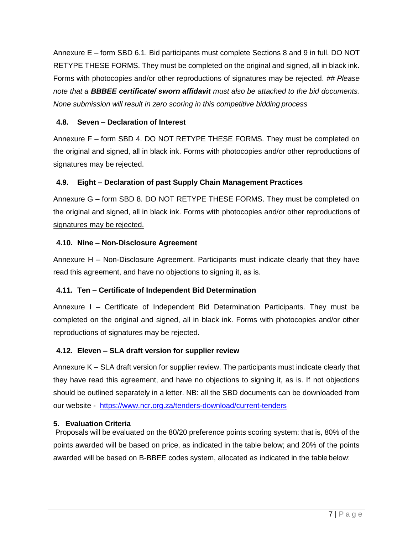Annexure E – form SBD 6.1. Bid participants must complete Sections 8 and 9 in full. DO NOT RETYPE THESE FORMS. They must be completed on the original and signed, all in black ink. Forms with photocopies and/or other reproductions of signatures may be rejected. *## Please note that a BBBEE certificate/ sworn affidavit must also be attached to the bid documents. None submission will result in zero scoring in this competitive bidding process*

# **4.8. Seven – Declaration of Interest**

Annexure F – form SBD 4. DO NOT RETYPE THESE FORMS. They must be completed on the original and signed, all in black ink. Forms with photocopies and/or other reproductions of signatures may be rejected.

# **4.9. Eight – Declaration of past Supply Chain Management Practices**

Annexure G – form SBD 8. DO NOT RETYPE THESE FORMS. They must be completed on the original and signed, all in black ink. Forms with photocopies and/or other reproductions of signatures may be rejected.

# **4.10. Nine – Non-Disclosure Agreement**

Annexure H – Non-Disclosure Agreement. Participants must indicate clearly that they have read this agreement, and have no objections to signing it, as is.

# **4.11. Ten – Certificate of Independent Bid Determination**

Annexure I – Certificate of Independent Bid Determination Participants. They must be completed on the original and signed, all in black ink. Forms with photocopies and/or other reproductions of signatures may be rejected.

# **4.12. Eleven – SLA draft version for supplier review**

Annexure K – SLA draft version for supplier review. The participants must indicate clearly that they have read this agreement, and have no objections to signing it, as is. If not objections should be outlined separately in a letter. NB: all the SBD documents can be downloaded from our website - <https://www.ncr.org.za/tenders-download/current-tenders>

# **5. Evaluation Criteria**

Proposals will be evaluated on the 80/20 preference points scoring system: that is, 80% of the points awarded will be based on price, as indicated in the table below; and 20% of the points awarded will be based on B-BBEE codes system, allocated as indicated in the tablebelow: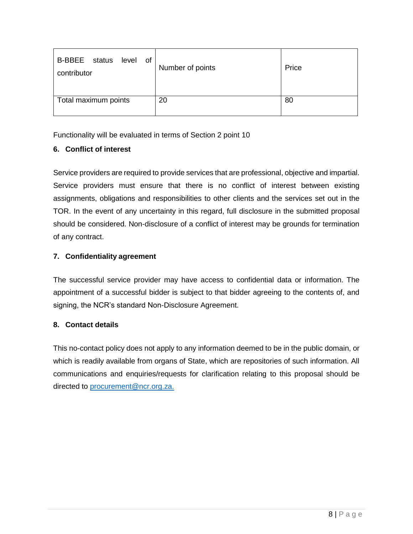| <b>B-BBEE</b><br>status<br>of<br>level<br>contributor | Number of points | Price |
|-------------------------------------------------------|------------------|-------|
| Total maximum points                                  | 20               | 80    |

Functionality will be evaluated in terms of Section 2 point 10

# **6. Conflict of interest**

Service providers are required to provide services that are professional, objective and impartial. Service providers must ensure that there is no conflict of interest between existing assignments, obligations and responsibilities to other clients and the services set out in the TOR. In the event of any uncertainty in this regard, full disclosure in the submitted proposal should be considered. Non-disclosure of a conflict of interest may be grounds for termination of any contract.

# **7. Confidentiality agreement**

The successful service provider may have access to confidential data or information. The appointment of a successful bidder is subject to that bidder agreeing to the contents of, and signing, the NCR's standard Non-Disclosure Agreement.

# **8. Contact details**

This no-contact policy does not apply to any information deemed to be in the public domain, or which is readily available from organs of State, which are repositories of such information. All communications and enquiries/requests for clarification relating to this proposal should be directed to [procurement@ncr.org.za.](mailto:procurement@ncr.org.za)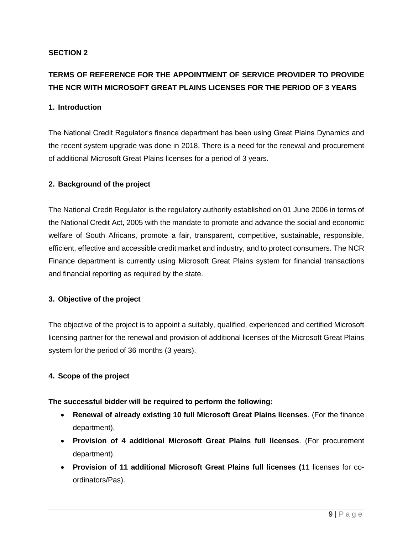#### **SECTION 2**

# **TERMS OF REFERENCE FOR THE APPOINTMENT OF SERVICE PROVIDER TO PROVIDE THE NCR WITH MICROSOFT GREAT PLAINS LICENSES FOR THE PERIOD OF 3 YEARS**

#### **1. Introduction**

The National Credit Regulator's finance department has been using Great Plains Dynamics and the recent system upgrade was done in 2018. There is a need for the renewal and procurement of additional Microsoft Great Plains licenses for a period of 3 years.

#### **2. Background of the project**

The National Credit Regulator is the regulatory authority established on 01 June 2006 in terms of the National Credit Act, 2005 with the mandate to promote and advance the social and economic welfare of South Africans, promote a fair, transparent, competitive, sustainable, responsible, efficient, effective and accessible credit market and industry, and to protect consumers. The NCR Finance department is currently using Microsoft Great Plains system for financial transactions and financial reporting as required by the state.

#### **3. Objective of the project**

The objective of the project is to appoint a suitably, qualified, experienced and certified Microsoft licensing partner for the renewal and provision of additional licenses of the Microsoft Great Plains system for the period of 36 months (3 years).

#### **4. Scope of the project**

#### **The successful bidder will be required to perform the following:**

- **Renewal of already existing 10 full Microsoft Great Plains licenses**. (For the finance department).
- **Provision of 4 additional Microsoft Great Plains full licenses**. (For procurement department).
- **Provision of 11 additional Microsoft Great Plains full licenses (**11 licenses for coordinators/Pas).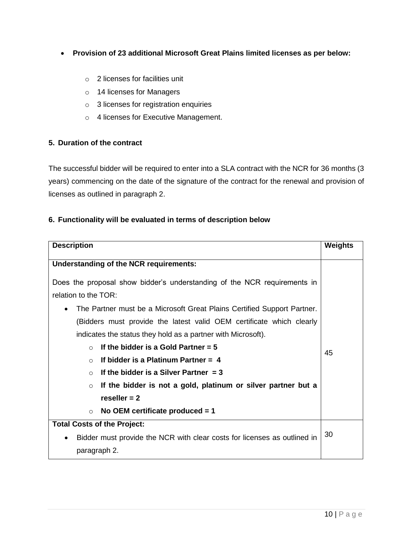- **Provision of 23 additional Microsoft Great Plains limited licenses as per below:**
	- o 2 licenses for facilities unit
	- o 14 licenses for Managers
	- o 3 licenses for registration enquiries
	- o 4 licenses for Executive Management.

#### **5. Duration of the contract**

The successful bidder will be required to enter into a SLA contract with the NCR for 36 months (3 years) commencing on the date of the signature of the contract for the renewal and provision of licenses as outlined in paragraph 2.

# **6. Functionality will be evaluated in terms of description below**

| <b>Description</b>                                                       |                                                                          |    |
|--------------------------------------------------------------------------|--------------------------------------------------------------------------|----|
| Understanding of the NCR requirements:                                   |                                                                          |    |
|                                                                          |                                                                          |    |
| Does the proposal show bidder's understanding of the NCR requirements in |                                                                          |    |
| relation to the TOR:                                                     |                                                                          |    |
| The Partner must be a Microsoft Great Plains Certified Support Partner.  |                                                                          |    |
| (Bidders must provide the latest valid OEM certificate which clearly     |                                                                          |    |
| indicates the status they hold as a partner with Microsoft).             |                                                                          |    |
| $\bigcirc$                                                               | If the bidder is a Gold Partner $= 5$                                    | 45 |
| $\bigcirc$                                                               | If bidder is a Platinum Partner $=$ 4                                    |    |
| $\bigcirc$                                                               | If the bidder is a Silver Partner $=$ 3                                  |    |
| $\circ$                                                                  | If the bidder is not a gold, platinum or silver partner but a            |    |
|                                                                          | reseller $= 2$                                                           |    |
| $\circ$                                                                  | No OEM certificate produced $= 1$                                        |    |
| <b>Total Costs of the Project:</b>                                       |                                                                          |    |
|                                                                          | Bidder must provide the NCR with clear costs for licenses as outlined in | 30 |
| paragraph 2.                                                             |                                                                          |    |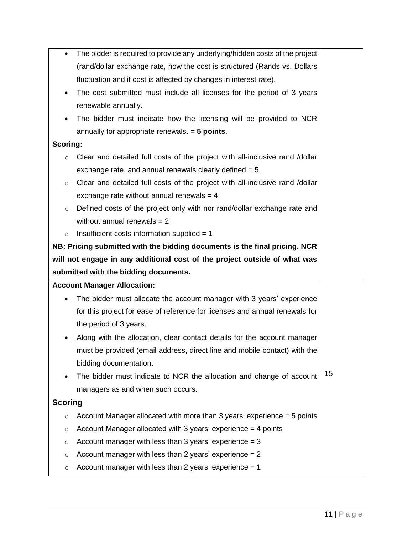| $\bullet$                                                                  | The bidder is required to provide any underlying/hidden costs of the project |    |
|----------------------------------------------------------------------------|------------------------------------------------------------------------------|----|
|                                                                            | (rand/dollar exchange rate, how the cost is structured (Rands vs. Dollars    |    |
|                                                                            | fluctuation and if cost is affected by changes in interest rate).            |    |
| ٠                                                                          | The cost submitted must include all licenses for the period of 3 years       |    |
|                                                                            | renewable annually.                                                          |    |
|                                                                            | The bidder must indicate how the licensing will be provided to NCR           |    |
|                                                                            | annually for appropriate renewals. $=$ 5 points.                             |    |
| Scoring:                                                                   |                                                                              |    |
| $\circ$                                                                    | Clear and detailed full costs of the project with all-inclusive rand /dollar |    |
|                                                                            | exchange rate, and annual renewals clearly defined $= 5$ .                   |    |
| $\circ$                                                                    | Clear and detailed full costs of the project with all-inclusive rand /dollar |    |
|                                                                            | exchange rate without annual renewals = $4$                                  |    |
| $\circ$                                                                    | Defined costs of the project only with nor rand/dollar exchange rate and     |    |
|                                                                            | without annual renewals $= 2$                                                |    |
| $\circ$                                                                    | Insufficient costs information supplied = 1                                  |    |
| NB: Pricing submitted with the bidding documents is the final pricing. NCR |                                                                              |    |
| will not engage in any additional cost of the project outside of what was  |                                                                              |    |
|                                                                            |                                                                              |    |
|                                                                            | submitted with the bidding documents.                                        |    |
|                                                                            | <b>Account Manager Allocation:</b>                                           |    |
|                                                                            | The bidder must allocate the account manager with 3 years' experience        |    |
|                                                                            | for this project for ease of reference for licenses and annual renewals for  |    |
|                                                                            | the period of 3 years.                                                       |    |
|                                                                            | Along with the allocation, clear contact details for the account manager     |    |
|                                                                            | must be provided (email address, direct line and mobile contact) with the    |    |
|                                                                            | bidding documentation.                                                       |    |
|                                                                            | The bidder must indicate to NCR the allocation and change of account         | 15 |
|                                                                            | managers as and when such occurs.                                            |    |
| <b>Scoring</b>                                                             |                                                                              |    |
| $\circ$                                                                    | Account Manager allocated with more than 3 years' experience $=$ 5 points    |    |
| $\circ$                                                                    | Account Manager allocated with 3 years' experience $=$ 4 points              |    |
| O                                                                          | Account manager with less than 3 years' experience $=$ 3                     |    |
| $\circ$                                                                    | Account manager with less than 2 years' experience $= 2$                     |    |